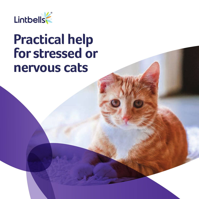

# **Practical help for stressed or nervous cats**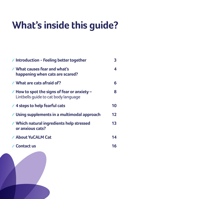# **What's inside this guide?**

| <b>∕ Introduction - Feeling better together</b>                                                          | 3  |
|----------------------------------------------------------------------------------------------------------|----|
| <b>∕ What causes fear and what's</b><br>happening when cats are scared?                                  | 4  |
| What are cats afraid of?                                                                                 | 6  |
| $\blacktriangleright$ How to spot the signs of fear or anxiety –<br>Lintbells quide to cat body language | 8  |
| <b>∕4 steps to help fearful cats</b>                                                                     | 10 |
| <b>∕ Using supplements in a multimodal approach</b>                                                      | 12 |
| ✔ Which natural ingredients help stressed<br>or anxious cats?                                            | 13 |
| About YuCALM Cat                                                                                         | 14 |
| <b>Contact us</b>                                                                                        | 16 |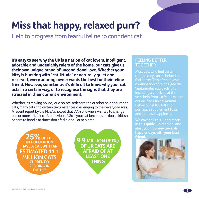# **Miss that happy, relaxed purr?**

Help to progress from fearful feline to confident cat

**It's easy to see why the UK is a nation of cat lovers. Intelligent, adorable and undeniably rulers of the home, our cats give us their own unique brand of unconditional love. Whether your kitty is bursting with "cat-ittude" or naturally quiet and reserved, every adoring owner wants the best for their feline friend. However, sometimes it's difficult to know why your cat acts in a certain way, or to recognise the signs that they are stressed in their current environment.** 

Whether it's moving house, loud noises, redecorating or other neighbourhood cats, many cats find certain circumstances challenging to their everyday lives. A recent report by the PDSA showed that 77% of owners wanted to change one or more of their cat's behaviours\*. So if your cat becomes anxious, skittish or hard to handle at times don't feel alone - or to blame.

**25% OF THE UK POPULATION HAVE A CAT, WITH AN ESTIMATED 11.1 MILLION CATS CURRENTLY RESIDING IN THE UK\***

**9.9 MILLION (89%) OF UK CATS ARE AFRAID OF AT LEAST ONE THING**

## **FEELING BETTER TOGETHER**

Most cats who find certain things scary can be helped to feel better. This often takes a combination of things (see the 'multimodal approach' p12), including a check up at the vets, help from a a feline expert or Certified Clinical Animal Behaviourist (CCAB) and perhaps a supplement to calm and increase happiness.

**We cover all this – and more – in this guide. So read on, and start your journey towards happier days with your best friend.** 

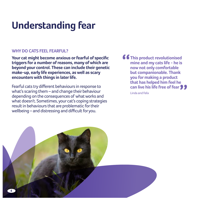# **Understanding fear**

## **WHY DO CATS FEEL FEARFUL?**

**Your cat might become anxious or fearful of specific triggers for a number of reasons, many of which are beyond your control. These can include their genetic make-up, early life experiences, as well as scary encounters with things in later life.** 

Fearful cats try different behaviours in response to what's scaring them – and change their behaviour depending on the consequences of what works and what doesn't. Sometimes, your cat's coping strategies result in behaviours that are problematic for their wellbeing – and distressing and difficult for you.

**f**  $f$  This product revolutionised **mine and my cats life - he is now not only comfortable but companionable. Thank you for making a product that has helped him feel he can live his life free of fear**

Linda and Felix

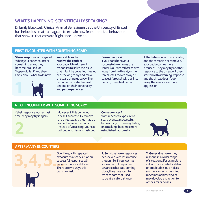## **WHAT'S HAPPENING, SCIENTIFICALLY SPEAKING?**

Dr Emily Blackwell, Clinical Animal Behaviourist at the University of Bristol has helped us create a diagram to explain how fears – and the behaviours that show us that cats are frightened – develop.

## **FIRST ENCOUNTER WITH SOMETHING SCARY**

**Stress response is triggered** When your cat encounters something scary, they become 'aroused' or 'hyper-vigilant' and they think about what to do next.



**Your cat tries to resolve the conflict** Your cat will try different responses to solve the issue – that might be cowering, fleeing or attacking to try and make the scary thing go away. The response he or she tries will depend on their personality and past experiences.

**Consequences?**

If your cat's behaviour successfully removes the threat (your scared cat moves away from the threat, or the threat itself moves away or ceases), 'arousal' will decline, helping them feel better.

If the behaviour is unsuccessful, and the threat is not removed, your cat becomes more 'aroused'. They may try another response to the threat – if they started with a warning response and the threat doesn't go away, they may show more aggression.

## **NEXT ENCOUNTER WITH SOMETHING SCARY**

If their response worked last time, they may try it again.



However, if this behaviour doesn't successfully remove the threat again, they may try something else. Perhaps instead of vocalising, your cat will begin to hiss and lash out.

### **Consequences?**

With repeated exposure to scary events, a successful behaviour (e.g. running, hiding or attacking) becomes more established (automatic).



### **AFTER MANY ENCOUNTERS**



Over time, with repeated exposure to a scary situation, successful responses will become more established. There are two ways this can manifest:

**1: Sensitisation** – responses occur even with less intense triggers. So if your cat has shown fearful responses towards other cats coming close, they may start to react to cats that used to be at a 'safe' distance.

**2: Generalisation** – they respond in a wider range of situations. For example, a cat who is scared of sudden, unpredictable loud noises – such as vacuums, washing machines or blow dryers – may develop a reaction to other similar noises.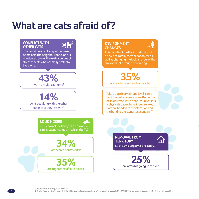## **What are cats afraid of?**

### **CONFLICT WITH OTHER CATS**

This could be a cat living in the same home or in the neighbourhood, and is considered one of the main sources of stress for cats who normally prefer to live alone.

## **43%**  live in a multi-cat home1

**14%** 

don't get along with the other cat or cats they live with $1$ 

**LOUD NOISES**

This can include things like fireworks, sirens, vacuums, loud music or the TV.

> **34%**  are scared of fireworks<sup>1</sup>

**35%**  are frightened of loud noises<sup>1</sup>

## **ENVIRONMENT CHANGES**



This could include the introduction of a new pet, family member or object as well as changing the look and feel of the environment through decorating.

> **35%**  are fearful of unfamiliar people<sup>1</sup>

" Take a dog for a walk and it will come back to you because you are the centre of its universe. With a cat, its universe is a physical space where it feels relaxed... Cats are bonded to their location and the bond to the owner is secondary"<sup>2</sup>

> **REMOVAL FROM TERRITORY** Such as visiting a vet or cattery. **25%** <sup>1</sup>

> > are afraid of going to the Vet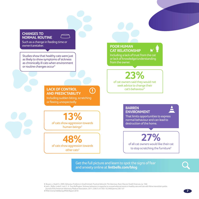### **CHANGES TO NORMAL ROUTINE**

Such as a change in feeding time or owner/caretaker.

Studies show that healthy cats were just as likely to show symptoms of sickness as chronically ill cats when environment or routine changes occur<sup>4</sup>

## **POOR HUMAN CAT RELATIONSHIP**



Including a lack of trust from the cat or lack of knowledge/understanding from the owner.

**23%**  of cat owners said they would not seek advice to change their cat's behaviour<sup>5</sup>

## **LACK OF CONTROL AND PREDICTABILITY**

Including sudden biting, scratching or fleeing unexpectedly

of cats show aggression towards **13%** human beings $3$ 

**48%**  of cats show aggression towards other cats3

**BARREN ENVIRONMENT**



That limits opportunities to express normal behaviour and can lead to destruction of the home.

**27%** 

of all cat owners would like their cat to stop scratching the furniture<sup>5</sup>

Get the full picture and learn to spot the signs of fear and anxiety online at **lintbells.com/blog**

**3** Bowen, J., Heath S., 2005. *Behaviour Problems in Small Animals: Practical Advice for The Veterinary Team:* Elsevier Health Sciences. (p. 166)

**4** Judi L. Stella, Linda K. Lord, C. A. Tony Buffington. Sickness behaviors in response to unusual external events in healthy cats and cats with feline interstitial cystitis.

Journal of the American Veterinary Medical Association, 2011; 238 (1): 67 DOI: 10.2460/javma.238.1.67

**5** PDSA Animal Wellbeing (PAW) Report 2018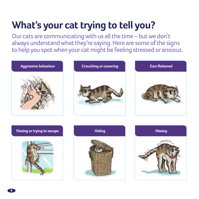# **What's your cat trying to tell you?**

Our cats are communicating with us all the time – but we don't always understand what they're saying. Here are some of the signs to help you spot when your cat might be feeling stressed or anxious.











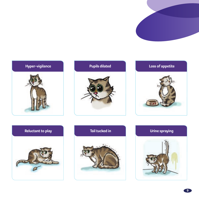











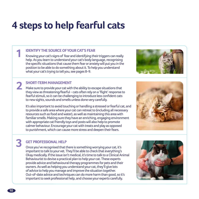## **4 steps to help fearful cats**

## **IDENTIFY THE SOURCE OF YOUR CAT'S FEAR**

Knowing your cat's signs of fear and identifying their triggers can really help. As you learn to understand your cat's body language, recognising the specific situations that cause them fear or anxiety will put you in the position to be able to do something about it. To help you understand what your cat's trying to tell you, see pages 8-9.

## **SHORT-TERM MANAGEMENT**

Make sure to provide your cat with the ability to escape situations that **2** SHORT-TERM MANAGEMENT<br>Make sure to provide your cat with the ability to escape situations that<br>they view as threatening/fearful - cats often rely on a 'flight' response to fearful stimuli, so it can be challenging to introduce less confident cats to new sights, sounds and smells unless done very carefully.

It's also important to avoid touching or handling a stressed or fearful cat, and to provide a safe area where your cat can retreat to (including all necessary resources such as food and water), as well as maintaining this area with familiar smells. Making sure they have an enriching, engaging environment with appropriate cat friendly toys and posts will also help to promote calmer behaviour. Encourage your cat with treats and play as opposed to punishment, which can cause more stress and deepen their fears.





## **GET PROFESSIONAL HELP**

Once you've recognised that there is something worrying your cat, it's important to talk to your vet. They'll be able to check that everything's Okay medically. If the issue isn't medical, it's time to talk to a Clinical Animal Behaviourist to devise a practical plan to help your cat. These experts provide advice and behavioural therapy programmes for pets and their owners. As well as helping you understand your cat, they'll give lots of advice to help you manage and improve the situation together. Out-of-date advice and techniques can do more harm than good, so it's important to seek professional help, and choose your experts carefully.



**3**

**1**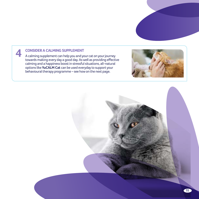## **CONSIDER A CALMING SUPPLEMENT**

**4**

A calming supplement can help you and your cat on your journey towards making every day a good day. As well as providing effective calming and a happiness boost in stressful situations, all-natural options like **YuCALM Cat** can be used everyday to support your behavioural therapy programme – see how on the next page.



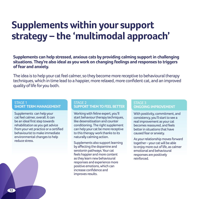## **Supplements within your support strategy – the 'multimodal approach'**

**Supplements can help stressed, anxious cats by providing calming support in challenging situations. They're also ideal as you work on changing feelings and responses to triggers of fear and anxiety.** 

The idea is to help your cat feel calmer, so they become more receptive to behavioural therapy techniques, which in time lead to a happier, more relaxed, more confident cat, and an improved quality of life for you both.

### STAGE 1 **SHORT TERM MANAGEMENT**

Supplements can help your cat feel calmer, overall. It can be an ideal first step towards rehabilitation as you get advice from your vet practice or a certified behaviourist to make immediate environmental changes to help reduce stress.

### STAGE 2 **SUPPORT THEM TO FEEL BETTER**

Working with feline expert, you'll start behaviour therapy techniques, like desensitisation and counter conditioning. The right supplement can help your cat be more receptive to this therapy work thanks to its naturally calming action.

Supplements also support learning by affecting the dopamine and serotonin pathways. Your cat feels happier and more content as they learn new behavioural responses and experience more positive emotions, which can increase confidence and improves results.

### STAGE 3 **ONGOING IMPROVEMENT**

With positivity, commitment, and consistency, you'll start to see a real improvement as your cat becomes reassured, and feels better in situations that have caused fear or anxiety.

As your relationship moves forward together – your cat will be able to enjoy more out of life, as calmer emotional and behavioural responses are positively reinforced.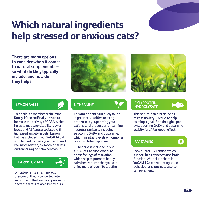## **Which natural ingredients help stressed or anxious cats?**

**There are many options to consider when it comes to natural supplements – so what do they typically include, and how do they help?**





This herb is a member of the mint family. It's scientifically proven to increase the activity of GABA, which helps to reduce excitability: Lower levels of GABA are associated with increased anxiety in pets. Lemon Balm is included in our **YuCALM Cat** supplement to make your best friend feel more relaxed, by soothing stress and encouraging calm behaviour.



L-Tryptophan is an amino acid pre-cursor that is converted into serotonin in the brain and proven to decrease stress related behaviours.

This amino acid is uniquely found in green tea. It offers relaxing properties by supporting your cat's natural production of calming neurotransmitters, including serotonin, GABA and dopamine, which maintains levels of hormones responsible for happiness.

L-Theanine is included in our **YuCALM Cat** supplement to boost feelings of relaxation, which help to promote happy, calm behaviour so that you can enjoy more of your life together.

### **LEMON BALM CONSUMING <b>FISH PROTEIN HYDROLYSATE**



This natural fish protein helps to ease anxiety. It works to help calming signals find the right spot, by supporting GABA and dopamine activity for a "feel good" effect.

### **B VITAMINS**

Look out for B vitamins, which support healthy nerves and brain function. We include them in **YuCALM Cat** to reduce agitated behaviour and promote a softer temperament.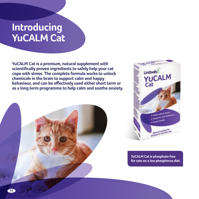## **Introducing YuCALM Cat**

**YuCALM Cat is a premium, natural supplement with scientifically proven ingredients to safely help your cat cope with stress. The complete formula works to unlock chemicals in the brain to support calm and happy behaviour, and can be effectively used either short term or as a long term programme to help calm and soothe anxiety.**





**YuCALM Cat is phosphate free for cats on a low phosphorus diet.**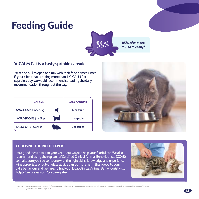# **Feeding Guide**



## **YuCALM Cat is a tasty sprinkle capsule.**

Twist and pull to open and mix with their food at mealtimes. If your clients cat is taking more than 1 YuCALM Cat capsule a day we would recommend spreading the daily recommendation throughout the day.

| <b>CAT SIZE</b>               |      | <b>DAILY AMOUNT</b>   |
|-------------------------------|------|-----------------------|
| <b>SMALL CATS</b> (under 4kg) | м    | $\frac{1}{2}$ capsule |
| <b>AVERAGE CATS (4 - 5kg)</b> | AJS, | 1 capsule             |
| <b>LARGE CATS (over 5kg)</b>  |      | 2 capsules            |



## **CHOOSING THE RIGHT EXPERT**

It's a good idea to talk to your vet about ways to help your fearful cat. We also recommend using the register of Certified Clinical Animal Behaviourists (CCAB) to make sure you see someone with the right skills, knowledge and experience – inappropriate or out-of-date advice can do more harm than good to your cat's behaviour and welfare. To find your local Clinical Animal Behaviourist visit: **http://www.asab.org/ccab-register**



**1** Da Graca Pereira G, Fragoso S and Pires E. 'Effect of dietary ni take of L-tryptophan supplementation on multi-housed cats presenting with stress related behaviours (abstract).' BSAVA Congress Scientific Proceedings, 2010